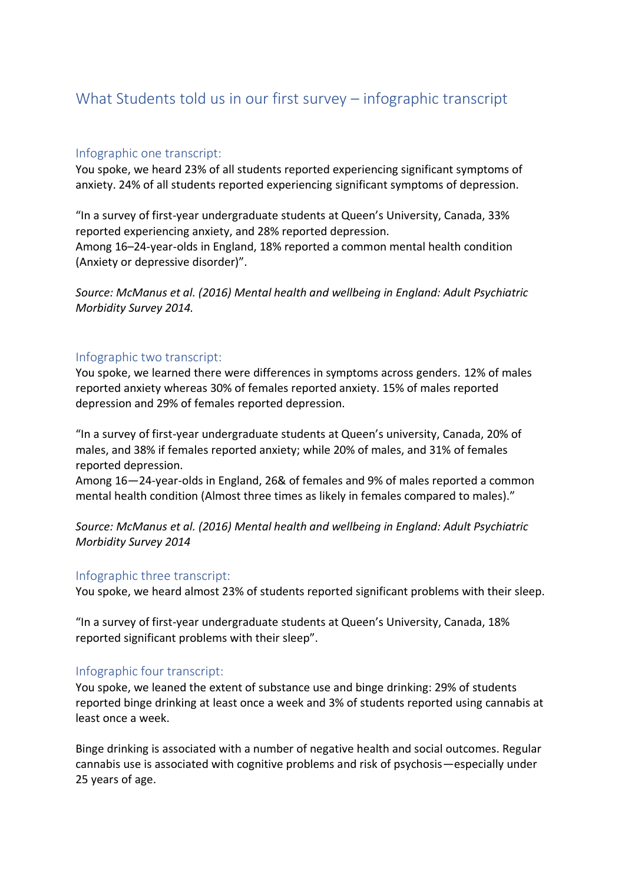# What Students told us in our first survey – infographic transcript

## Infographic one transcript:

You spoke, we heard 23% of all students reported experiencing significant symptoms of anxiety. 24% of all students reported experiencing significant symptoms of depression.

"In a survey of first-year undergraduate students at Queen's University, Canada, 33% reported experiencing anxiety, and 28% reported depression.

Among 16–24-year-olds in England, 18% reported a common mental health condition (Anxiety or depressive disorder)".

*Source: McManus et al. (2016) Mental health and wellbeing in England: Adult Psychiatric Morbidity Survey 2014.*

## Infographic two transcript:

You spoke, we learned there were differences in symptoms across genders. 12% of males reported anxiety whereas 30% of females reported anxiety. 15% of males reported depression and 29% of females reported depression.

"In a survey of first-year undergraduate students at Queen's university, Canada, 20% of males, and 38% if females reported anxiety; while 20% of males, and 31% of females reported depression.

Among 16—24-year-olds in England, 26& of females and 9% of males reported a common mental health condition (Almost three times as likely in females compared to males)."

*Source: McManus et al. (2016) Mental health and wellbeing in England: Adult Psychiatric Morbidity Survey 2014*

#### Infographic three transcript:

You spoke, we heard almost 23% of students reported significant problems with their sleep.

"In a survey of first-year undergraduate students at Queen's University, Canada, 18% reported significant problems with their sleep".

# Infographic four transcript:

You spoke, we leaned the extent of substance use and binge drinking: 29% of students reported binge drinking at least once a week and 3% of students reported using cannabis at least once a week.

Binge drinking is associated with a number of negative health and social outcomes. Regular cannabis use is associated with cognitive problems and risk of psychosis—especially under 25 years of age.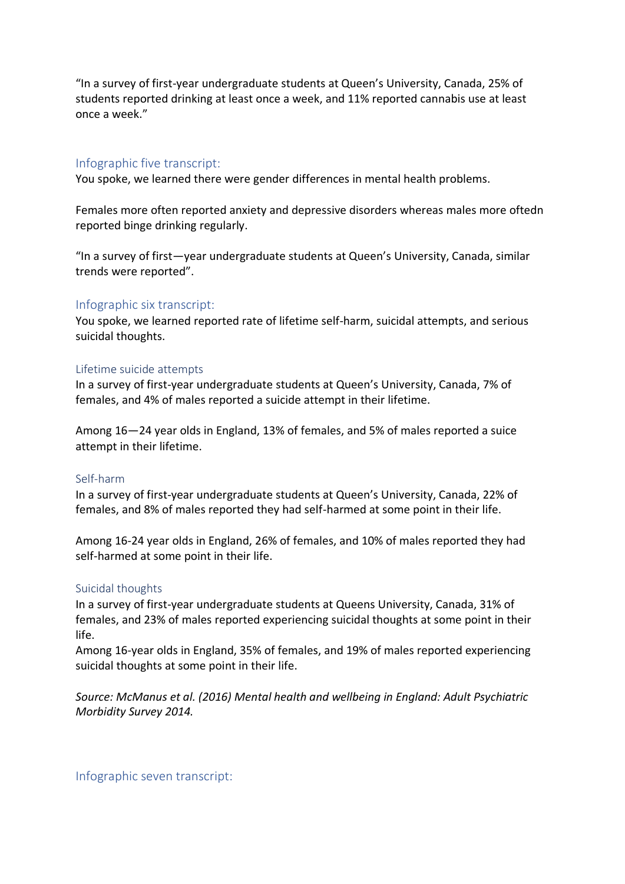"In a survey of first-year undergraduate students at Queen's University, Canada, 25% of students reported drinking at least once a week, and 11% reported cannabis use at least once a week."

#### Infographic five transcript:

You spoke, we learned there were gender differences in mental health problems.

Females more often reported anxiety and depressive disorders whereas males more oftedn reported binge drinking regularly.

"In a survey of first—year undergraduate students at Queen's University, Canada, similar trends were reported".

## Infographic six transcript:

You spoke, we learned reported rate of lifetime self-harm, suicidal attempts, and serious suicidal thoughts.

#### Lifetime suicide attempts

In a survey of first-year undergraduate students at Queen's University, Canada, 7% of females, and 4% of males reported a suicide attempt in their lifetime.

Among 16—24 year olds in England, 13% of females, and 5% of males reported a suice attempt in their lifetime.

#### Self-harm

In a survey of first-year undergraduate students at Queen's University, Canada, 22% of females, and 8% of males reported they had self-harmed at some point in their life.

Among 16-24 year olds in England, 26% of females, and 10% of males reported they had self-harmed at some point in their life.

#### Suicidal thoughts

In a survey of first-year undergraduate students at Queens University, Canada, 31% of females, and 23% of males reported experiencing suicidal thoughts at some point in their life.

Among 16-year olds in England, 35% of females, and 19% of males reported experiencing suicidal thoughts at some point in their life.

*Source: McManus et al. (2016) Mental health and wellbeing in England: Adult Psychiatric Morbidity Survey 2014.* 

Infographic seven transcript: